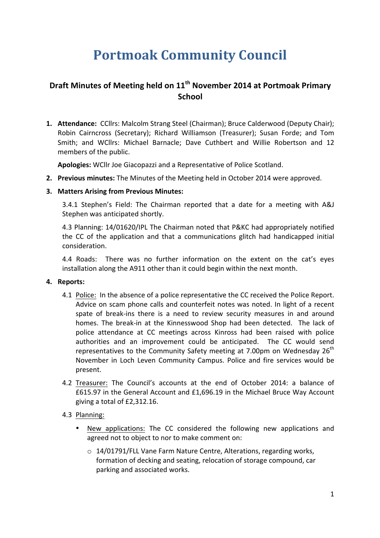# **Portmoak Community Council**

# **Draft Minutes of Meeting held on**  $11<sup>th</sup>$  **November 2014 at Portmoak Primary School**

1. **Attendance:** CCllrs: Malcolm Strang Steel (Chairman); Bruce Calderwood (Deputy Chair); Robin Cairncross (Secretary); Richard Williamson (Treasurer); Susan Forde; and Tom Smith; and WCllrs: Michael Barnacle; Dave Cuthbert and Willie Robertson and 12 members of the public.

Apologies: WCllr Joe Giacopazzi and a Representative of Police Scotland.

**2. Previous minutes:** The Minutes of the Meeting held in October 2014 were approved.

# **3. Matters Arising from Previous Minutes:**

3.4.1 Stephen's Field: The Chairman reported that a date for a meeting with A&J Stephen was anticipated shortly.

4.3 Planning: 14/01620/IPL The Chairman noted that P&KC had appropriately notified the CC of the application and that a communications glitch had handicapped initial consideration.

4.4 Roads: There was no further information on the extent on the cat's eyes installation along the A911 other than it could begin within the next month.

# **4.** Reports:

- 4.1 Police: In the absence of a police representative the CC received the Police Report. Advice on scam phone calls and counterfeit notes was noted. In light of a recent spate of break-ins there is a need to review security measures in and around homes. The break-in at the Kinnesswood Shop had been detected. The lack of police attendance at CC meetings across Kinross had been raised with police authorities and an improvement could be anticipated. The CC would send representatives to the Community Safety meeting at 7.00pm on Wednesday  $26<sup>th</sup>$ November in Loch Leven Community Campus. Police and fire services would be present.
- 4.2 Treasurer: The Council's accounts at the end of October 2014: a balance of £615.97 in the General Account and £1,696.19 in the Michael Bruce Way Account giving a total of £2,312.16.
- 4.3 Planning:
	- New applications: The CC considered the following new applications and agreed not to object to nor to make comment on:
		- $\circ$  14/01791/FLL Vane Farm Nature Centre, Alterations, regarding works, formation of decking and seating, relocation of storage compound, car parking and associated works.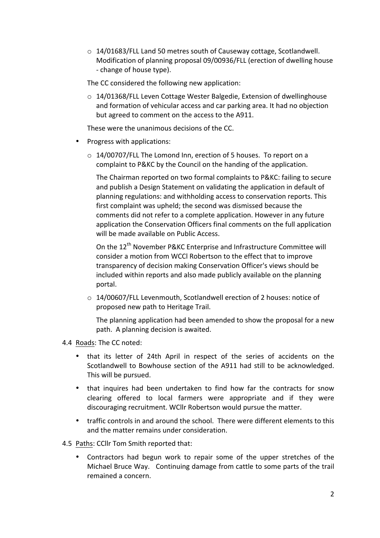$\circ$  14/01683/FLL Land 50 metres south of Causeway cottage, Scotlandwell. Modification of planning proposal 09/00936/FLL (erection of dwelling house - change of house type).

The CC considered the following new application:

 $\circ$  14/01368/FLL Leven Cottage Wester Balgedie, Extension of dwellinghouse and formation of vehicular access and car parking area. It had no objection but agreed to comment on the access to the A911.

These were the unanimous decisions of the CC.

- Progress with applications:
	- $\circ$  14/00707/FLL The Lomond Inn, erection of 5 houses. To report on a complaint to P&KC by the Council on the handing of the application.

The Chairman reported on two formal complaints to P&KC: failing to secure and publish a Design Statement on validating the application in default of planning regulations: and withholding access to conservation reports. This first complaint was upheld; the second was dismissed because the comments did not refer to a complete application. However in any future application the Conservation Officers final comments on the full application will be made available on Public Access.

On the 12<sup>th</sup> November P&KC Enterprise and Infrastructure Committee will consider a motion from WCCl Robertson to the effect that to improve transparency of decision making Conservation Officer's views should be included within reports and also made publicly available on the planning portal.

 $\circ$  14/00607/FLL Levenmouth, Scotlandwell erection of 2 houses: notice of proposed new path to Heritage Trail.

The planning application had been amended to show the proposal for a new path. A planning decision is awaited.

- 4.4 Roads: The CC noted:
	- that its letter of 24th April in respect of the series of accidents on the Scotlandwell to Bowhouse section of the A911 had still to be acknowledged. This will be pursued.
	- that inquires had been undertaken to find how far the contracts for snow clearing offered to local farmers were appropriate and if they were discouraging recruitment. WCllr Robertson would pursue the matter.
	- traffic controls in and around the school. There were different elements to this and the matter remains under consideration.

4.5 Paths: CCllr Tom Smith reported that:

Contractors had begun work to repair some of the upper stretches of the Michael Bruce Way. Continuing damage from cattle to some parts of the trail remained a concern.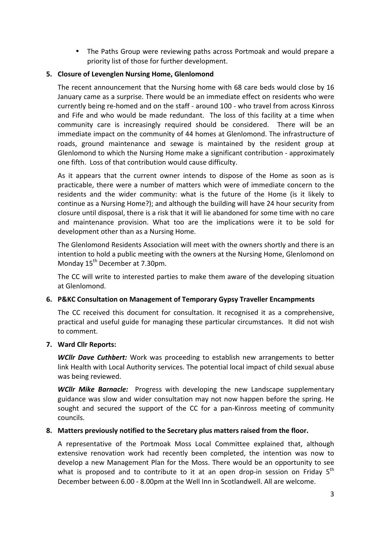• The Paths Group were reviewing paths across Portmoak and would prepare a priority list of those for further development.

# **5. Closure of Levenglen Nursing Home, Glenlomond**

The recent announcement that the Nursing home with  $68$  care beds would close by 16 January came as a surprise. There would be an immediate effect on residents who were currently being re-homed and on the staff - around 100 - who travel from across Kinross and Fife and who would be made redundant. The loss of this facility at a time when community care is increasingly required should be considered. There will be an immediate impact on the community of 44 homes at Glenlomond. The infrastructure of roads, ground maintenance and sewage is maintained by the resident group at Glenlomond to which the Nursing Home make a significant contribution - approximately one fifth. Loss of that contribution would cause difficulty.

As it appears that the current owner intends to dispose of the Home as soon as is practicable, there were a number of matters which were of immediate concern to the residents and the wider community: what is the future of the Home (is it likely to continue as a Nursing Home?); and although the building will have 24 hour security from closure until disposal, there is a risk that it will lie abandoned for some time with no care and maintenance provision. What too are the implications were it to be sold for development other than as a Nursing Home.

The Glenlomond Residents Association will meet with the owners shortly and there is an intention to hold a public meeting with the owners at the Nursing Home, Glenlomond on Monday  $15^{th}$  December at 7.30pm.

The CC will write to interested parties to make them aware of the developing situation at Glenlomond.

#### **6. P&KC** Consultation on Management of Temporary Gypsy Traveller Encampments

The CC received this document for consultation. It recognised it as a comprehensive, practical and useful guide for managing these particular circumstances. It did not wish to comment.

#### **7. Ward Cllr Reports:**

**WCIIr Dave Cuthbert:** Work was proceeding to establish new arrangements to better link Health with Local Authority services. The potential local impact of child sexual abuse was being reviewed.

**WCllr Mike Barnacle:** Progress with developing the new Landscape supplementary guidance was slow and wider consultation may not now happen before the spring. He sought and secured the support of the CC for a pan-Kinross meeting of community councils.

#### 8. Matters previously notified to the Secretary plus matters raised from the floor.

A representative of the Portmoak Moss Local Committee explained that, although extensive renovation work had recently been completed, the intention was now to develop a new Management Plan for the Moss. There would be an opportunity to see what is proposed and to contribute to it at an open drop-in session on Friday  $5<sup>th</sup>$ December between 6.00 - 8.00pm at the Well Inn in Scotlandwell. All are welcome.